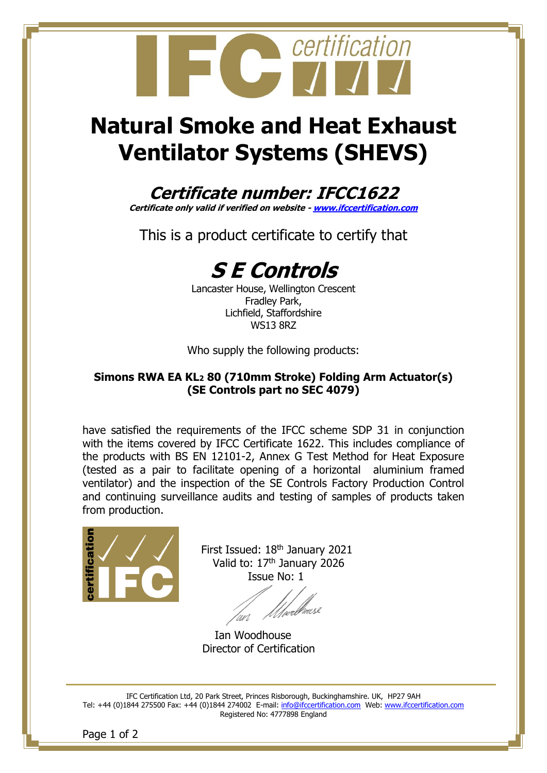

# **Natural Smoke and Heat Exhaust Ventilator Systems (SHEVS)**

### **Certificate number: IFCC1622**

**Certificate only valid if verified on website - [www.ifccertification.com](http://www.ifccertification.com/)**

This is a product certificate to certify that



Lancaster House, Wellington Crescent Fradley Park, Lichfield, Staffordshire WS13 8RZ

Who supply the following products:

#### **Simons RWA EA KL<sup>2</sup> 80 (710mm Stroke) Folding Arm Actuator(s) (SE Controls part no SEC 4079)**

have satisfied the requirements of the IFCC scheme SDP 31 in conjunction with the items covered by IFCC Certificate 1622. This includes compliance of the products with BS EN 12101-2, Annex G Test Method for Heat Exposure (tested as a pair to facilitate opening of a horizontal aluminium framed ventilator) and the inspection of the SE Controls Factory Production Control and continuing surveillance audits and testing of samples of products taken from production.



First Issued: 18<sup>th</sup> January 2021 Valid to: 17<sup>th</sup> January 2026 Issue No: 1

un

Ian Woodhouse Director of Certification

IFC Certification Ltd, 20 Park Street, Princes Risborough, Buckinghamshire. UK, HP27 9AH Tel: +44 (0)1844 275500 Fax: +44 (0)1844 274002 E-mail: [info@ifccertification.com](mailto:info@ifccertification.com) Web: [www.ifccertification.com](http://www.ifccertification.com/) Registered No: 4777898 England

Page 1 of 2